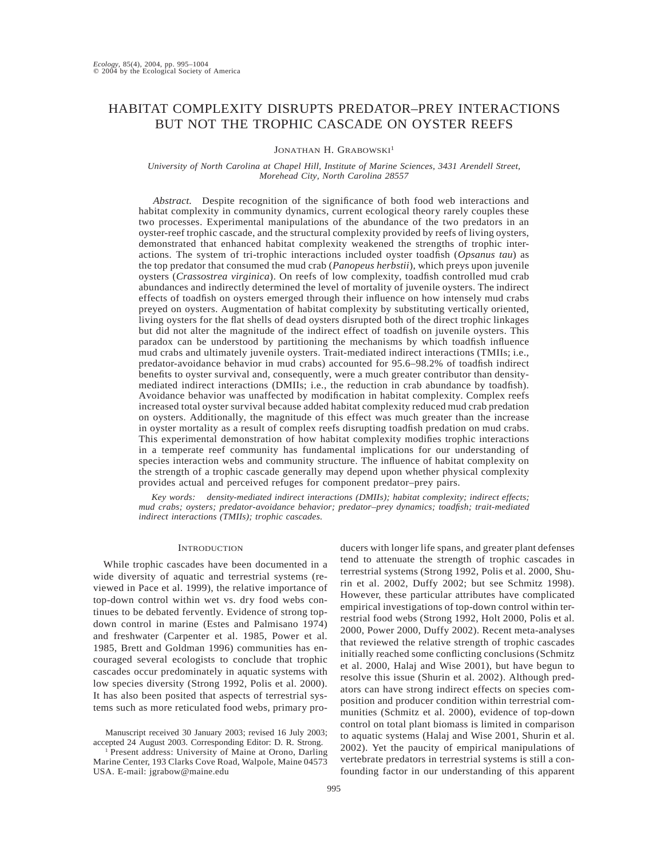# HABITAT COMPLEXITY DISRUPTS PREDATOR–PREY INTERACTIONS BUT NOT THE TROPHIC CASCADE ON OYSTER REEFS

## JONATHAN H. GRABOWSKI<sup>1</sup>

## *University of North Carolina at Chapel Hill, Institute of Marine Sciences, 3431 Arendell Street, Morehead City, North Carolina 28557*

*Abstract.* Despite recognition of the significance of both food web interactions and habitat complexity in community dynamics, current ecological theory rarely couples these two processes. Experimental manipulations of the abundance of the two predators in an oyster-reef trophic cascade, and the structural complexity provided by reefs of living oysters, demonstrated that enhanced habitat complexity weakened the strengths of trophic interactions. The system of tri-trophic interactions included oyster toadfish (*Opsanus tau*) as the top predator that consumed the mud crab (*Panopeus herbstii*), which preys upon juvenile oysters (*Crassostrea virginica*). On reefs of low complexity, toadfish controlled mud crab abundances and indirectly determined the level of mortality of juvenile oysters. The indirect effects of toadfish on oysters emerged through their influence on how intensely mud crabs preyed on oysters. Augmentation of habitat complexity by substituting vertically oriented, living oysters for the flat shells of dead oysters disrupted both of the direct trophic linkages but did not alter the magnitude of the indirect effect of toadfish on juvenile oysters. This paradox can be understood by partitioning the mechanisms by which toadfish influence mud crabs and ultimately juvenile oysters. Trait-mediated indirect interactions (TMIIs; i.e., predator-avoidance behavior in mud crabs) accounted for 95.6–98.2% of toadfish indirect benefits to oyster survival and, consequently, were a much greater contributor than densitymediated indirect interactions (DMIIs; i.e., the reduction in crab abundance by toadfish). Avoidance behavior was unaffected by modification in habitat complexity. Complex reefs increased total oyster survival because added habitat complexity reduced mud crab predation on oysters. Additionally, the magnitude of this effect was much greater than the increase in oyster mortality as a result of complex reefs disrupting toadfish predation on mud crabs. This experimental demonstration of how habitat complexity modifies trophic interactions in a temperate reef community has fundamental implications for our understanding of species interaction webs and community structure. The influence of habitat complexity on the strength of a trophic cascade generally may depend upon whether physical complexity provides actual and perceived refuges for component predator–prey pairs.

*Key words: density-mediated indirect interactions (DMIIs); habitat complexity; indirect effects; mud crabs; oysters; predator-avoidance behavior; predator–prey dynamics; toadfish; trait-mediated indirect interactions (TMIIs); trophic cascades.*

## **INTRODUCTION**

While trophic cascades have been documented in a wide diversity of aquatic and terrestrial systems (reviewed in Pace et al. 1999), the relative importance of top-down control within wet vs. dry food webs continues to be debated fervently. Evidence of strong topdown control in marine (Estes and Palmisano 1974) and freshwater (Carpenter et al. 1985, Power et al. 1985, Brett and Goldman 1996) communities has encouraged several ecologists to conclude that trophic cascades occur predominately in aquatic systems with low species diversity (Strong 1992, Polis et al. 2000). It has also been posited that aspects of terrestrial systems such as more reticulated food webs, primary pro-

<sup>1</sup> Present address: University of Maine at Orono, Darling Marine Center, 193 Clarks Cove Road, Walpole, Maine 04573 USA. E-mail: jgrabow@maine.edu

ducers with longer life spans, and greater plant defenses tend to attenuate the strength of trophic cascades in terrestrial systems (Strong 1992, Polis et al. 2000, Shurin et al. 2002, Duffy 2002; but see Schmitz 1998). However, these particular attributes have complicated empirical investigations of top-down control within terrestrial food webs (Strong 1992, Holt 2000, Polis et al. 2000, Power 2000, Duffy 2002). Recent meta-analyses that reviewed the relative strength of trophic cascades initially reached some conflicting conclusions (Schmitz et al. 2000, Halaj and Wise 2001), but have begun to resolve this issue (Shurin et al. 2002). Although predators can have strong indirect effects on species composition and producer condition within terrestrial communities (Schmitz et al. 2000), evidence of top-down control on total plant biomass is limited in comparison to aquatic systems (Halaj and Wise 2001, Shurin et al. 2002). Yet the paucity of empirical manipulations of vertebrate predators in terrestrial systems is still a confounding factor in our understanding of this apparent

Manuscript received 30 January 2003; revised 16 July 2003; accepted 24 August 2003. Corresponding Editor: D. R. Strong.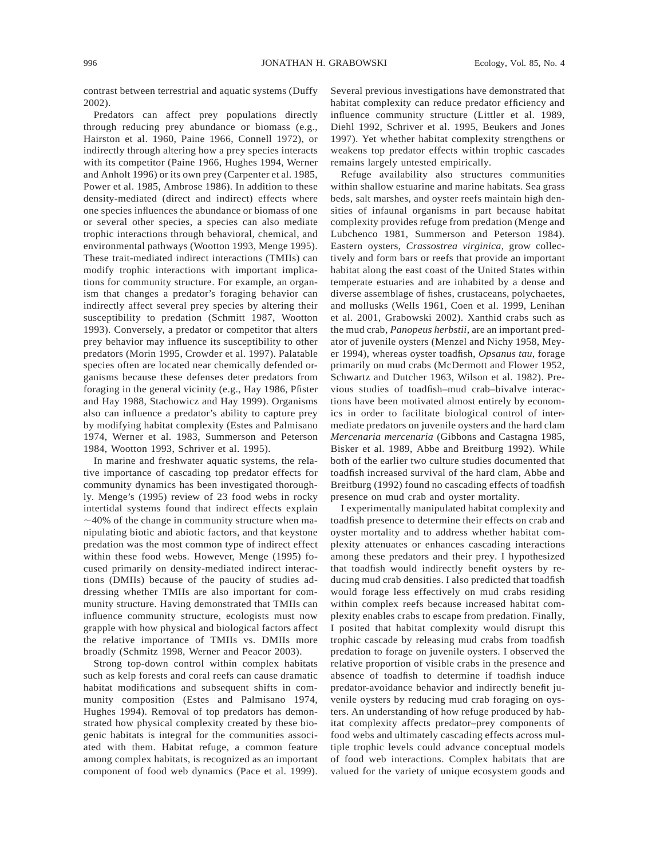contrast between terrestrial and aquatic systems (Duffy 2002).

Predators can affect prey populations directly through reducing prey abundance or biomass (e.g., Hairston et al. 1960, Paine 1966, Connell 1972), or indirectly through altering how a prey species interacts with its competitor (Paine 1966, Hughes 1994, Werner and Anholt 1996) or its own prey (Carpenter et al. 1985, Power et al. 1985, Ambrose 1986). In addition to these density-mediated (direct and indirect) effects where one species influences the abundance or biomass of one or several other species, a species can also mediate trophic interactions through behavioral, chemical, and environmental pathways (Wootton 1993, Menge 1995). These trait-mediated indirect interactions (TMIIs) can modify trophic interactions with important implications for community structure. For example, an organism that changes a predator's foraging behavior can indirectly affect several prey species by altering their susceptibility to predation (Schmitt 1987, Wootton 1993). Conversely, a predator or competitor that alters prey behavior may influence its susceptibility to other predators (Morin 1995, Crowder et al. 1997). Palatable species often are located near chemically defended organisms because these defenses deter predators from foraging in the general vicinity (e.g., Hay 1986, Pfister and Hay 1988, Stachowicz and Hay 1999). Organisms also can influence a predator's ability to capture prey by modifying habitat complexity (Estes and Palmisano 1974, Werner et al. 1983, Summerson and Peterson 1984, Wootton 1993, Schriver et al. 1995).

In marine and freshwater aquatic systems, the relative importance of cascading top predator effects for community dynamics has been investigated thoroughly. Menge's (1995) review of 23 food webs in rocky intertidal systems found that indirect effects explain  $\sim$ 40% of the change in community structure when manipulating biotic and abiotic factors, and that keystone predation was the most common type of indirect effect within these food webs. However, Menge (1995) focused primarily on density-mediated indirect interactions (DMIIs) because of the paucity of studies addressing whether TMIIs are also important for community structure. Having demonstrated that TMIIs can influence community structure, ecologists must now grapple with how physical and biological factors affect the relative importance of TMIIs vs. DMIIs more broadly (Schmitz 1998, Werner and Peacor 2003).

Strong top-down control within complex habitats such as kelp forests and coral reefs can cause dramatic habitat modifications and subsequent shifts in community composition (Estes and Palmisano 1974, Hughes 1994). Removal of top predators has demonstrated how physical complexity created by these biogenic habitats is integral for the communities associated with them. Habitat refuge, a common feature among complex habitats, is recognized as an important component of food web dynamics (Pace et al. 1999). Several previous investigations have demonstrated that habitat complexity can reduce predator efficiency and influence community structure (Littler et al. 1989, Diehl 1992, Schriver et al. 1995, Beukers and Jones 1997). Yet whether habitat complexity strengthens or weakens top predator effects within trophic cascades remains largely untested empirically.

Refuge availability also structures communities within shallow estuarine and marine habitats. Sea grass beds, salt marshes, and oyster reefs maintain high densities of infaunal organisms in part because habitat complexity provides refuge from predation (Menge and Lubchenco 1981, Summerson and Peterson 1984). Eastern oysters, *Crassostrea virginica*, grow collectively and form bars or reefs that provide an important habitat along the east coast of the United States within temperate estuaries and are inhabited by a dense and diverse assemblage of fishes, crustaceans, polychaetes, and mollusks (Wells 1961, Coen et al. 1999, Lenihan et al. 2001, Grabowski 2002). Xanthid crabs such as the mud crab, *Panopeus herbstii*, are an important predator of juvenile oysters (Menzel and Nichy 1958, Meyer 1994), whereas oyster toadfish, *Opsanus tau*, forage primarily on mud crabs (McDermott and Flower 1952, Schwartz and Dutcher 1963, Wilson et al. 1982). Previous studies of toadfish–mud crab–bivalve interactions have been motivated almost entirely by economics in order to facilitate biological control of intermediate predators on juvenile oysters and the hard clam *Mercenaria mercenaria* (Gibbons and Castagna 1985, Bisker et al. 1989, Abbe and Breitburg 1992). While both of the earlier two culture studies documented that toadfish increased survival of the hard clam, Abbe and Breitburg (1992) found no cascading effects of toadfish presence on mud crab and oyster mortality.

I experimentally manipulated habitat complexity and toadfish presence to determine their effects on crab and oyster mortality and to address whether habitat complexity attenuates or enhances cascading interactions among these predators and their prey. I hypothesized that toadfish would indirectly benefit oysters by reducing mud crab densities. I also predicted that toadfish would forage less effectively on mud crabs residing within complex reefs because increased habitat complexity enables crabs to escape from predation. Finally, I posited that habitat complexity would disrupt this trophic cascade by releasing mud crabs from toadfish predation to forage on juvenile oysters. I observed the relative proportion of visible crabs in the presence and absence of toadfish to determine if toadfish induce predator-avoidance behavior and indirectly benefit juvenile oysters by reducing mud crab foraging on oysters. An understanding of how refuge produced by habitat complexity affects predator–prey components of food webs and ultimately cascading effects across multiple trophic levels could advance conceptual models of food web interactions. Complex habitats that are valued for the variety of unique ecosystem goods and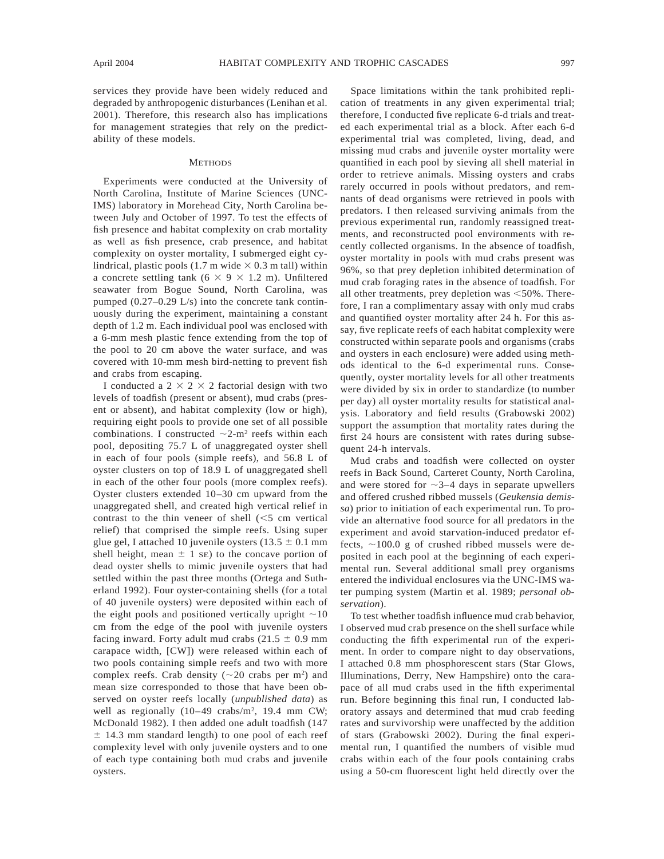services they provide have been widely reduced and degraded by anthropogenic disturbances (Lenihan et al. 2001). Therefore, this research also has implications for management strategies that rely on the predictability of these models.

## **METHODS**

Experiments were conducted at the University of North Carolina, Institute of Marine Sciences (UNC-IMS) laboratory in Morehead City, North Carolina between July and October of 1997. To test the effects of fish presence and habitat complexity on crab mortality as well as fish presence, crab presence, and habitat complexity on oyster mortality, I submerged eight cylindrical, plastic pools (1.7 m wide  $\times$  0.3 m tall) within a concrete settling tank (6  $\times$  9  $\times$  1.2 m). Unfiltered seawater from Bogue Sound, North Carolina, was pumped  $(0.27-0.29 \text{ L/s})$  into the concrete tank continuously during the experiment, maintaining a constant depth of 1.2 m. Each individual pool was enclosed with a 6-mm mesh plastic fence extending from the top of the pool to 20 cm above the water surface, and was covered with 10-mm mesh bird-netting to prevent fish and crabs from escaping.

I conducted a  $2 \times 2 \times 2$  factorial design with two levels of toadfish (present or absent), mud crabs (present or absent), and habitat complexity (low or high), requiring eight pools to provide one set of all possible combinations. I constructed  $\sim$ 2-m<sup>2</sup> reefs within each pool, depositing 75.7 L of unaggregated oyster shell in each of four pools (simple reefs), and 56.8 L of oyster clusters on top of 18.9 L of unaggregated shell in each of the other four pools (more complex reefs). Oyster clusters extended 10–30 cm upward from the unaggregated shell, and created high vertical relief in contrast to the thin veneer of shell  $(<5$  cm vertical relief) that comprised the simple reefs. Using super glue gel, I attached 10 juvenile oysters (13.5  $\pm$  0.1 mm shell height, mean  $\pm$  1 sE) to the concave portion of dead oyster shells to mimic juvenile oysters that had settled within the past three months (Ortega and Sutherland 1992). Four oyster-containing shells (for a total of 40 juvenile oysters) were deposited within each of the eight pools and positioned vertically upright  $\sim$ 10 cm from the edge of the pool with juvenile oysters facing inward. Forty adult mud crabs (21.5  $\pm$  0.9 mm carapace width, [CW]) were released within each of two pools containing simple reefs and two with more complex reefs. Crab density  $(\sim 20 \text{ crabs per m}^2)$  and mean size corresponded to those that have been observed on oyster reefs locally (*unpublished data*) as well as regionally (10-49 crabs/m<sup>2</sup>, 19.4 mm CW; McDonald 1982). I then added one adult toadfish (147  $\pm$  14.3 mm standard length) to one pool of each reef complexity level with only juvenile oysters and to one of each type containing both mud crabs and juvenile oysters.

Space limitations within the tank prohibited replication of treatments in any given experimental trial; therefore, I conducted five replicate 6-d trials and treated each experimental trial as a block. After each 6-d experimental trial was completed, living, dead, and missing mud crabs and juvenile oyster mortality were quantified in each pool by sieving all shell material in order to retrieve animals. Missing oysters and crabs rarely occurred in pools without predators, and remnants of dead organisms were retrieved in pools with predators. I then released surviving animals from the previous experimental run, randomly reassigned treatments, and reconstructed pool environments with recently collected organisms. In the absence of toadfish, oyster mortality in pools with mud crabs present was 96%, so that prey depletion inhibited determination of mud crab foraging rates in the absence of toadfish. For all other treatments, prey depletion was  $\leq 50\%$ . Therefore, I ran a complimentary assay with only mud crabs and quantified oyster mortality after 24 h. For this assay, five replicate reefs of each habitat complexity were constructed within separate pools and organisms (crabs and oysters in each enclosure) were added using methods identical to the 6-d experimental runs. Consequently, oyster mortality levels for all other treatments were divided by six in order to standardize (to number per day) all oyster mortality results for statistical analysis. Laboratory and field results (Grabowski 2002) support the assumption that mortality rates during the first 24 hours are consistent with rates during subsequent 24-h intervals.

Mud crabs and toadfish were collected on oyster reefs in Back Sound, Carteret County, North Carolina, and were stored for  $\sim$ 3–4 days in separate upwellers and offered crushed ribbed mussels (*Geukensia demissa*) prior to initiation of each experimental run. To provide an alternative food source for all predators in the experiment and avoid starvation-induced predator effects,  $\sim$ 100.0 g of crushed ribbed mussels were deposited in each pool at the beginning of each experimental run. Several additional small prey organisms entered the individual enclosures via the UNC-IMS water pumping system (Martin et al. 1989; *personal observation*).

To test whether toadfish influence mud crab behavior, I observed mud crab presence on the shell surface while conducting the fifth experimental run of the experiment. In order to compare night to day observations, I attached 0.8 mm phosphorescent stars (Star Glows, Illuminations, Derry, New Hampshire) onto the carapace of all mud crabs used in the fifth experimental run. Before beginning this final run, I conducted laboratory assays and determined that mud crab feeding rates and survivorship were unaffected by the addition of stars (Grabowski 2002). During the final experimental run, I quantified the numbers of visible mud crabs within each of the four pools containing crabs using a 50-cm fluorescent light held directly over the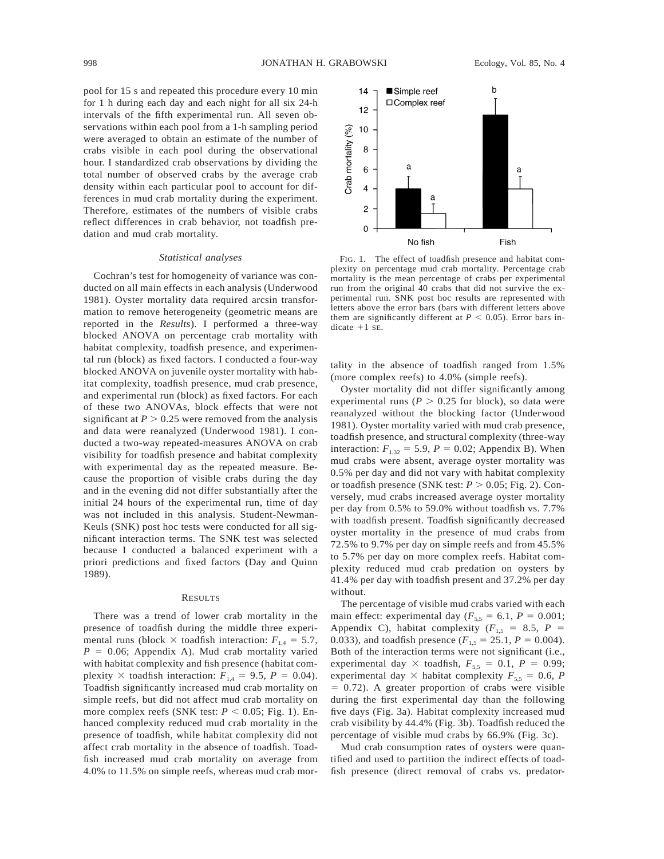pool for 15 s and repeated this procedure every 10 min for 1 h during each day and each night for all six 24-h intervals of the fifth experimental run. All seven observations within each pool from a 1-h sampling period were averaged to obtain an estimate of the number of crabs visible in each pool during the observational hour. I standardized crab observations by dividing the total number of observed crabs by the average crab density within each particular pool to account for differences in mud crab mortality during the experiment. Therefore, estimates of the numbers of visible crabs reflect differences in crab behavior, not toadfish predation and mud crab mortality.

## *Statistical analyses*

Cochran's test for homogeneity of variance was conducted on all main effects in each analysis (Underwood 1981). Oyster mortality data required arcsin transformation to remove heterogeneity (geometric means are reported in the *Results*). I performed a three-way blocked ANOVA on percentage crab mortality with habitat complexity, toadfish presence, and experimental run (block) as fixed factors. I conducted a four-way blocked ANOVA on juvenile oyster mortality with habitat complexity, toadfish presence, mud crab presence, and experimental run (block) as fixed factors. For each of these two ANOVAs, block effects that were not significant at  $P > 0.25$  were removed from the analysis and data were reanalyzed (Underwood 1981). I conducted a two-way repeated-measures ANOVA on crab visibility for toadfish presence and habitat complexity with experimental day as the repeated measure. Because the proportion of visible crabs during the day and in the evening did not differ substantially after the initial 24 hours of the experimental run, time of day was not included in this analysis. Student-Newman-Keuls (SNK) post hoc tests were conducted for all significant interaction terms. The SNK test was selected because I conducted a balanced experiment with a priori predictions and fixed factors (Day and Quinn 1989).

#### RESULTS

There was a trend of lower crab mortality in the presence of toadfish during the middle three experimental runs (block  $\times$  toadfish interaction:  $F_{1,4} = 5.7$ ,  $P = 0.06$ ; Appendix A). Mud crab mortality varied with habitat complexity and fish presence (habitat complexity  $\times$  toadfish interaction:  $F_{1,4} = 9.5$ ,  $P = 0.04$ ). Toadfish significantly increased mud crab mortality on simple reefs, but did not affect mud crab mortality on more complex reefs (SNK test:  $P < 0.05$ ; Fig. 1). Enhanced complexity reduced mud crab mortality in the presence of toadfish, while habitat complexity did not affect crab mortality in the absence of toadfish. Toadfish increased mud crab mortality on average from 4.0% to 11.5% on simple reefs, whereas mud crab mor-



FIG. 1. The effect of toadfish presence and habitat complexity on percentage mud crab mortality. Percentage crab mortality is the mean percentage of crabs per experimental run from the original 40 crabs that did not survive the experimental run. SNK post hoc results are represented with letters above the error bars (bars with different letters above them are significantly different at  $P < 0.05$ ). Error bars indicate  $+1$  SE.

tality in the absence of toadfish ranged from 1.5% (more complex reefs) to 4.0% (simple reefs).

Oyster mortality did not differ significantly among experimental runs ( $P > 0.25$  for block), so data were reanalyzed without the blocking factor (Underwood 1981). Oyster mortality varied with mud crab presence, toadfish presence, and structural complexity (three-way interaction:  $F_{132} = 5.9$ ,  $P = 0.02$ ; Appendix B). When mud crabs were absent, average oyster mortality was 0.5% per day and did not vary with habitat complexity or toadfish presence (SNK test:  $P > 0.05$ ; Fig. 2). Conversely, mud crabs increased average oyster mortality per day from 0.5% to 59.0% without toadfish vs. 7.7% with toadfish present. Toadfish significantly decreased oyster mortality in the presence of mud crabs from 72.5% to 9.7% per day on simple reefs and from 45.5% to 5.7% per day on more complex reefs. Habitat complexity reduced mud crab predation on oysters by 41.4% per day with toadfish present and 37.2% per day without.

The percentage of visible mud crabs varied with each main effect: experimental day ( $F_{5,5} = 6.1, P = 0.001;$ Appendix C), habitat complexity ( $F_{1,5} = 8.5$ ,  $P =$ 0.033), and toadfish presence  $(F_{1,5} = 25.1, P = 0.004)$ . Both of the interaction terms were not significant (i.e., experimental day  $\times$  toadfish,  $F_{5,5} = 0.1$ ,  $P = 0.99$ ; experimental day  $\times$  habitat complexity  $F_{55} = 0.6$ , *P*  $= 0.72$ ). A greater proportion of crabs were visible during the first experimental day than the following five days (Fig. 3a). Habitat complexity increased mud crab visibility by 44.4% (Fig. 3b). Toadfish reduced the percentage of visible mud crabs by 66.9% (Fig. 3c).

Mud crab consumption rates of oysters were quantified and used to partition the indirect effects of toadfish presence (direct removal of crabs vs. predator-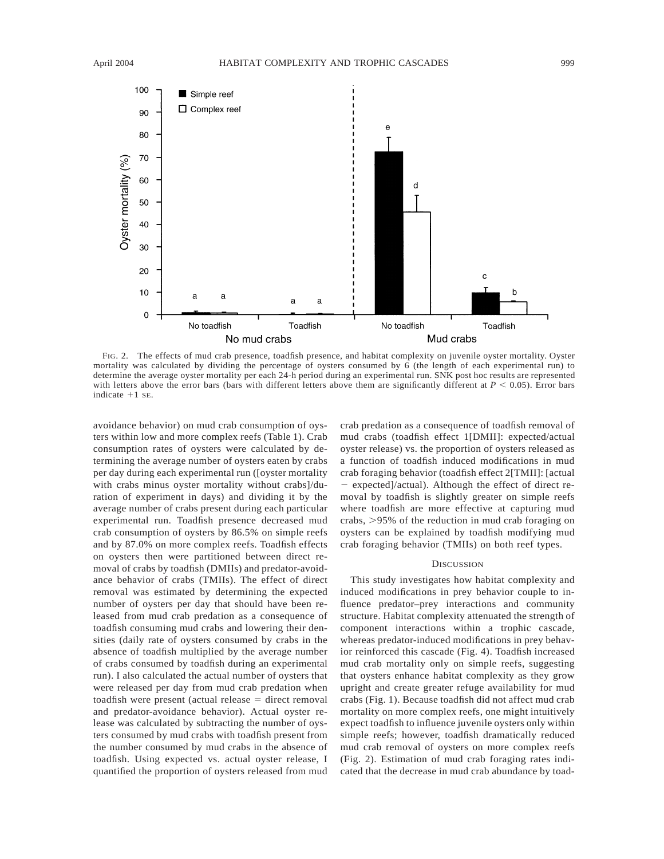

FIG. 2. The effects of mud crab presence, toadfish presence, and habitat complexity on juvenile oyster mortality. Oyster mortality was calculated by dividing the percentage of oysters consumed by 6 (the length of each experimental run) to determine the average oyster mortality per each 24-h period during an experimental run. SNK post hoc results are represented with letters above the error bars (bars with different letters above them are significantly different at  $P < 0.05$ ). Error bars indicate  $+1$  se.

avoidance behavior) on mud crab consumption of oysters within low and more complex reefs (Table 1). Crab consumption rates of oysters were calculated by determining the average number of oysters eaten by crabs per day during each experimental run ([oyster mortality with crabs minus oyster mortality without crabs]/duration of experiment in days) and dividing it by the average number of crabs present during each particular experimental run. Toadfish presence decreased mud crab consumption of oysters by 86.5% on simple reefs and by 87.0% on more complex reefs. Toadfish effects on oysters then were partitioned between direct removal of crabs by toadfish (DMIIs) and predator-avoidance behavior of crabs (TMIIs). The effect of direct removal was estimated by determining the expected number of oysters per day that should have been released from mud crab predation as a consequence of toadfish consuming mud crabs and lowering their densities (daily rate of oysters consumed by crabs in the absence of toadfish multiplied by the average number of crabs consumed by toadfish during an experimental run). I also calculated the actual number of oysters that were released per day from mud crab predation when toadfish were present (actual release  $=$  direct removal and predator-avoidance behavior). Actual oyster release was calculated by subtracting the number of oysters consumed by mud crabs with toadfish present from the number consumed by mud crabs in the absence of toadfish. Using expected vs. actual oyster release, I quantified the proportion of oysters released from mud

crab predation as a consequence of toadfish removal of mud crabs (toadfish effect 1[DMII]: expected/actual oyster release) vs. the proportion of oysters released as a function of toadfish induced modifications in mud crab foraging behavior (toadfish effect 2[TMII]: [actual - expected]/actual). Although the effect of direct removal by toadfish is slightly greater on simple reefs where toadfish are more effective at capturing mud crabs,  $>95\%$  of the reduction in mud crab foraging on oysters can be explained by toadfish modifying mud crab foraging behavior (TMIIs) on both reef types.

## **DISCUSSION**

This study investigates how habitat complexity and induced modifications in prey behavior couple to influence predator–prey interactions and community structure. Habitat complexity attenuated the strength of component interactions within a trophic cascade, whereas predator-induced modifications in prey behavior reinforced this cascade (Fig. 4). Toadfish increased mud crab mortality only on simple reefs, suggesting that oysters enhance habitat complexity as they grow upright and create greater refuge availability for mud crabs (Fig. 1). Because toadfish did not affect mud crab mortality on more complex reefs, one might intuitively expect toadfish to influence juvenile oysters only within simple reefs; however, toadfish dramatically reduced mud crab removal of oysters on more complex reefs (Fig. 2). Estimation of mud crab foraging rates indicated that the decrease in mud crab abundance by toad-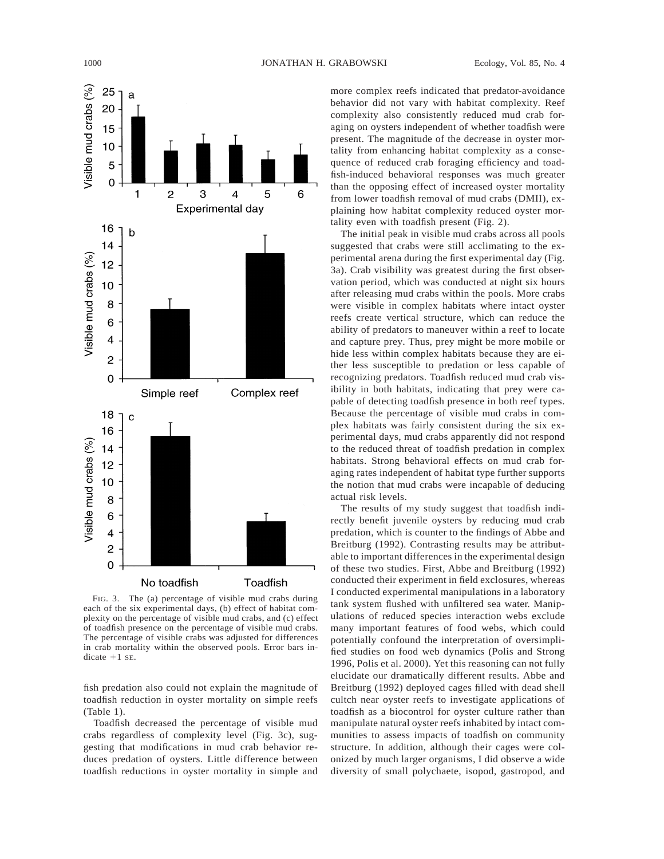

FIG. 3. The (a) percentage of visible mud crabs during each of the six experimental days, (b) effect of habitat complexity on the percentage of visible mud crabs, and (c) effect of toadfish presence on the percentage of visible mud crabs. The percentage of visible crabs was adjusted for differences in crab mortality within the observed pools. Error bars indicate  $+1$  SE.

fish predation also could not explain the magnitude of toadfish reduction in oyster mortality on simple reefs (Table 1).

Toadfish decreased the percentage of visible mud crabs regardless of complexity level (Fig. 3c), suggesting that modifications in mud crab behavior reduces predation of oysters. Little difference between toadfish reductions in oyster mortality in simple and

more complex reefs indicated that predator-avoidance behavior did not vary with habitat complexity. Reef complexity also consistently reduced mud crab foraging on oysters independent of whether toadfish were present. The magnitude of the decrease in oyster mortality from enhancing habitat complexity as a consequence of reduced crab foraging efficiency and toadfish-induced behavioral responses was much greater than the opposing effect of increased oyster mortality from lower toadfish removal of mud crabs (DMII), explaining how habitat complexity reduced oyster mortality even with toadfish present (Fig. 2).

The initial peak in visible mud crabs across all pools suggested that crabs were still acclimating to the experimental arena during the first experimental day (Fig. 3a). Crab visibility was greatest during the first observation period, which was conducted at night six hours after releasing mud crabs within the pools. More crabs were visible in complex habitats where intact oyster reefs create vertical structure, which can reduce the ability of predators to maneuver within a reef to locate and capture prey. Thus, prey might be more mobile or hide less within complex habitats because they are either less susceptible to predation or less capable of recognizing predators. Toadfish reduced mud crab visibility in both habitats, indicating that prey were capable of detecting toadfish presence in both reef types. Because the percentage of visible mud crabs in complex habitats was fairly consistent during the six experimental days, mud crabs apparently did not respond to the reduced threat of toadfish predation in complex habitats. Strong behavioral effects on mud crab foraging rates independent of habitat type further supports the notion that mud crabs were incapable of deducing actual risk levels.

The results of my study suggest that toadfish indirectly benefit juvenile oysters by reducing mud crab predation, which is counter to the findings of Abbe and Breitburg (1992). Contrasting results may be attributable to important differences in the experimental design of these two studies. First, Abbe and Breitburg (1992) conducted their experiment in field exclosures, whereas I conducted experimental manipulations in a laboratory tank system flushed with unfiltered sea water. Manipulations of reduced species interaction webs exclude many important features of food webs, which could potentially confound the interpretation of oversimplified studies on food web dynamics (Polis and Strong 1996, Polis et al. 2000). Yet this reasoning can not fully elucidate our dramatically different results. Abbe and Breitburg (1992) deployed cages filled with dead shell cultch near oyster reefs to investigate applications of toadfish as a biocontrol for oyster culture rather than manipulate natural oyster reefs inhabited by intact communities to assess impacts of toadfish on community structure. In addition, although their cages were colonized by much larger organisms, I did observe a wide diversity of small polychaete, isopod, gastropod, and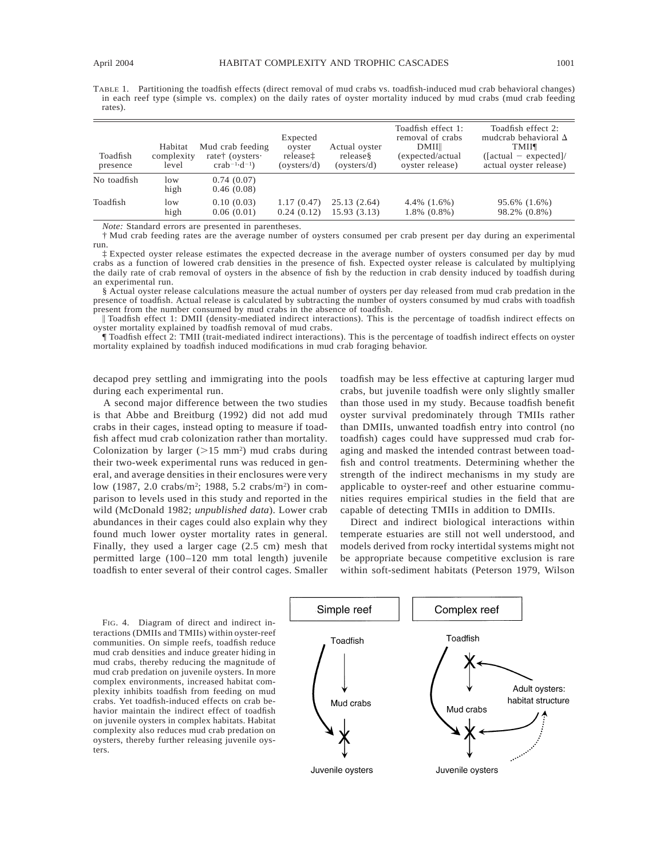TABLE 1. Partitioning the toadfish effects (direct removal of mud crabs vs. toadfish-induced mud crab behavioral changes) in each reef type (simple vs. complex) on the daily rates of oyster mortality induced by mud crabs (mud crab feeding rates).

| Toadfish<br>presence | Habitat<br>complexity<br>level | Mud crab feeding<br>rate† (oysters·<br>$crab^{-1}\cdot d^{-1}$ | Expected<br>oyster<br>releaset<br>(oysters/d) | Actual oyster<br>release<br>(oysters/d) | Toadfish effect 1:<br>removal of crabs<br>DMII<br>(expected/actual<br>oyster release) | Toadfish effect 2:<br>muderab behavioral $\Delta$<br><b>TMII¶</b><br>$\frac{1}{\text{[actual - expected]}}$<br>actual oyster release) |
|----------------------|--------------------------------|----------------------------------------------------------------|-----------------------------------------------|-----------------------------------------|---------------------------------------------------------------------------------------|---------------------------------------------------------------------------------------------------------------------------------------|
| No toadfish          | low<br>high                    | 0.74(0.07)<br>0.46(0.08)                                       |                                               |                                         |                                                                                       |                                                                                                                                       |
| Toadfish             | low<br>high                    | 0.10(0.03)<br>0.06(0.01)                                       | 1.17(0.47)<br>0.24(0.12)                      | 25.13(2.64)<br>15.93(3.13)              | $4.4\%$ $(1.6\%)$<br>$1.8\%$ $(0.8\%)$                                                | 95.6% (1.6%)<br>98.2% (0.8%)                                                                                                          |

*Note:* Standard errors are presented in parentheses.

† Mud crab feeding rates are the average number of oysters consumed per crab present per day during an experimental run.

‡ Expected oyster release estimates the expected decrease in the average number of oysters consumed per day by mud crabs as a function of lowered crab densities in the presence of fish. Expected oyster release is calculated by multiplying the daily rate of crab removal of oysters in the absence of fish by the reduction in crab density induced by toadfish during an experimental run.

§ Actual oyster release calculations measure the actual number of oysters per day released from mud crab predation in the presence of toadfish. Actual release is calculated by subtracting the number of oysters consumed by mud crabs with toadfish present from the number consumed by mud crabs in the absence of toadfish.

\ Toadfish effect 1: DMII (density-mediated indirect interactions). This is the percentage of toadfish indirect effects on oyster mortality explained by toadfish removal of mud crabs.

¶ Toadfish effect 2: TMII (trait-mediated indirect interactions). This is the percentage of toadfish indirect effects on oyster mortality explained by toadfish induced modifications in mud crab foraging behavior.

decapod prey settling and immigrating into the pools during each experimental run.

A second major difference between the two studies is that Abbe and Breitburg (1992) did not add mud crabs in their cages, instead opting to measure if toadfish affect mud crab colonization rather than mortality. Colonization by larger  $(>15$  mm<sup>2</sup>) mud crabs during their two-week experimental runs was reduced in general, and average densities in their enclosures were very low (1987, 2.0 crabs/m<sup>2</sup>; 1988, 5.2 crabs/m<sup>2</sup>) in comparison to levels used in this study and reported in the wild (McDonald 1982; *unpublished data*). Lower crab abundances in their cages could also explain why they found much lower oyster mortality rates in general. Finally, they used a larger cage (2.5 cm) mesh that permitted large (100–120 mm total length) juvenile toadfish to enter several of their control cages. Smaller

toadfish may be less effective at capturing larger mud crabs, but juvenile toadfish were only slightly smaller than those used in my study. Because toadfish benefit oyster survival predominately through TMIIs rather than DMIIs, unwanted toadfish entry into control (no toadfish) cages could have suppressed mud crab foraging and masked the intended contrast between toadfish and control treatments. Determining whether the strength of the indirect mechanisms in my study are applicable to oyster-reef and other estuarine communities requires empirical studies in the field that are capable of detecting TMIIs in addition to DMIIs.

Direct and indirect biological interactions within temperate estuaries are still not well understood, and models derived from rocky intertidal systems might not be appropriate because competitive exclusion is rare within soft-sediment habitats (Peterson 1979, Wilson

FIG. 4. Diagram of direct and indirect interactions (DMIIs and TMIIs) within oyster-reef communities. On simple reefs, toadfish reduce mud crab densities and induce greater hiding in mud crabs, thereby reducing the magnitude of mud crab predation on juvenile oysters. In more complex environments, increased habitat complexity inhibits toadfish from feeding on mud crabs. Yet toadfish-induced effects on crab behavior maintain the indirect effect of toadfish on juvenile oysters in complex habitats. Habitat complexity also reduces mud crab predation on oysters, thereby further releasing juvenile oysters.

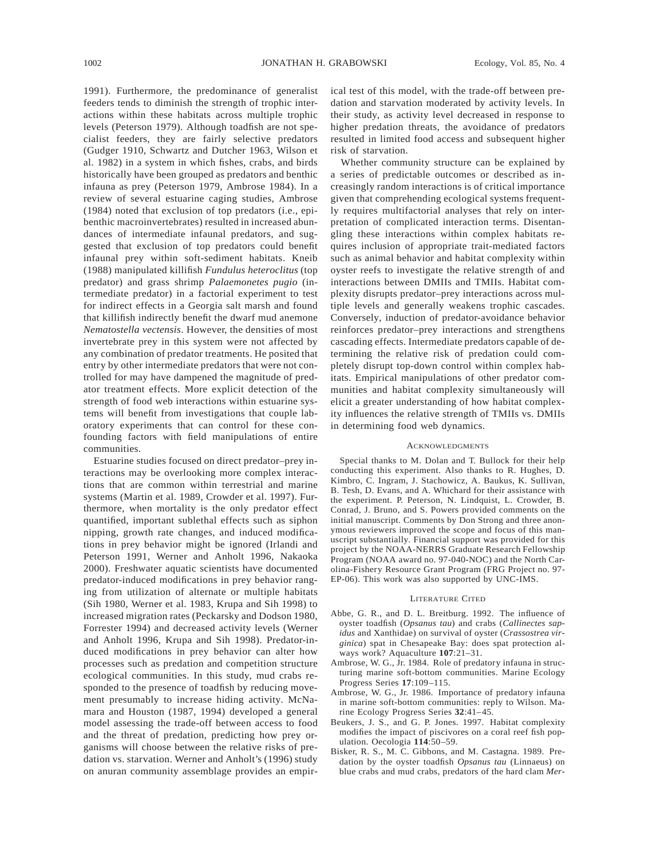1991). Furthermore, the predominance of generalist feeders tends to diminish the strength of trophic interactions within these habitats across multiple trophic levels (Peterson 1979). Although toadfish are not specialist feeders, they are fairly selective predators (Gudger 1910, Schwartz and Dutcher 1963, Wilson et al. 1982) in a system in which fishes, crabs, and birds historically have been grouped as predators and benthic infauna as prey (Peterson 1979, Ambrose 1984). In a review of several estuarine caging studies, Ambrose (1984) noted that exclusion of top predators (i.e., epibenthic macroinvertebrates) resulted in increased abundances of intermediate infaunal predators, and suggested that exclusion of top predators could benefit infaunal prey within soft-sediment habitats. Kneib (1988) manipulated killifish *Fundulus heteroclitus* (top predator) and grass shrimp *Palaemonetes pugio* (intermediate predator) in a factorial experiment to test for indirect effects in a Georgia salt marsh and found that killifish indirectly benefit the dwarf mud anemone *Nematostella vectensis*. However, the densities of most invertebrate prey in this system were not affected by any combination of predator treatments. He posited that entry by other intermediate predators that were not controlled for may have dampened the magnitude of predator treatment effects. More explicit detection of the strength of food web interactions within estuarine systems will benefit from investigations that couple laboratory experiments that can control for these confounding factors with field manipulations of entire communities.

Estuarine studies focused on direct predator–prey interactions may be overlooking more complex interactions that are common within terrestrial and marine systems (Martin et al. 1989, Crowder et al. 1997). Furthermore, when mortality is the only predator effect quantified, important sublethal effects such as siphon nipping, growth rate changes, and induced modifications in prey behavior might be ignored (Irlandi and Peterson 1991, Werner and Anholt 1996, Nakaoka 2000). Freshwater aquatic scientists have documented predator-induced modifications in prey behavior ranging from utilization of alternate or multiple habitats (Sih 1980, Werner et al. 1983, Krupa and Sih 1998) to increased migration rates (Peckarsky and Dodson 1980, Forrester 1994) and decreased activity levels (Werner and Anholt 1996, Krupa and Sih 1998). Predator-induced modifications in prey behavior can alter how processes such as predation and competition structure ecological communities. In this study, mud crabs responded to the presence of toadfish by reducing movement presumably to increase hiding activity. McNamara and Houston (1987, 1994) developed a general model assessing the trade-off between access to food and the threat of predation, predicting how prey organisms will choose between the relative risks of predation vs. starvation. Werner and Anholt's (1996) study on anuran community assemblage provides an empirical test of this model, with the trade-off between predation and starvation moderated by activity levels. In their study, as activity level decreased in response to higher predation threats, the avoidance of predators resulted in limited food access and subsequent higher risk of starvation.

Whether community structure can be explained by a series of predictable outcomes or described as increasingly random interactions is of critical importance given that comprehending ecological systems frequently requires multifactorial analyses that rely on interpretation of complicated interaction terms. Disentangling these interactions within complex habitats requires inclusion of appropriate trait-mediated factors such as animal behavior and habitat complexity within oyster reefs to investigate the relative strength of and interactions between DMIIs and TMIIs. Habitat complexity disrupts predator–prey interactions across multiple levels and generally weakens trophic cascades. Conversely, induction of predator-avoidance behavior reinforces predator–prey interactions and strengthens cascading effects. Intermediate predators capable of determining the relative risk of predation could completely disrupt top-down control within complex habitats. Empirical manipulations of other predator communities and habitat complexity simultaneously will elicit a greater understanding of how habitat complexity influences the relative strength of TMIIs vs. DMIIs in determining food web dynamics.

### **ACKNOWLEDGMENTS**

Special thanks to M. Dolan and T. Bullock for their help conducting this experiment. Also thanks to R. Hughes, D. Kimbro, C. Ingram, J. Stachowicz, A. Baukus, K. Sullivan, B. Tesh, D. Evans, and A. Whichard for their assistance with the experiment. P. Peterson, N. Lindquist, L. Crowder, B. Conrad, J. Bruno, and S. Powers provided comments on the initial manuscript. Comments by Don Strong and three anonymous reviewers improved the scope and focus of this manuscript substantially. Financial support was provided for this project by the NOAA-NERRS Graduate Research Fellowship Program (NOAA award no. 97-040-NOC) and the North Carolina-Fishery Resource Grant Program (FRG Project no. 97- EP-06). This work was also supported by UNC-IMS.

## LITERATURE CITED

- Abbe, G. R., and D. L. Breitburg. 1992. The influence of oyster toadfish (*Opsanus tau*) and crabs (*Callinectes sapidus* and Xanthidae) on survival of oyster (*Crassostrea virginica*) spat in Chesapeake Bay: does spat protection always work? Aquaculture **107**:21–31.
- Ambrose, W. G., Jr. 1984. Role of predatory infauna in structuring marine soft-bottom communities. Marine Ecology Progress Series **17**:109–115.
- Ambrose, W. G., Jr. 1986. Importance of predatory infauna in marine soft-bottom communities: reply to Wilson. Marine Ecology Progress Series **32**:41–45.
- Beukers, J. S., and G. P. Jones. 1997. Habitat complexity modifies the impact of piscivores on a coral reef fish population. Oecologia **114**:50–59.
- Bisker, R. S., M. C. Gibbons, and M. Castagna. 1989. Predation by the oyster toadfish *Opsanus tau* (Linnaeus) on blue crabs and mud crabs, predators of the hard clam *Mer-*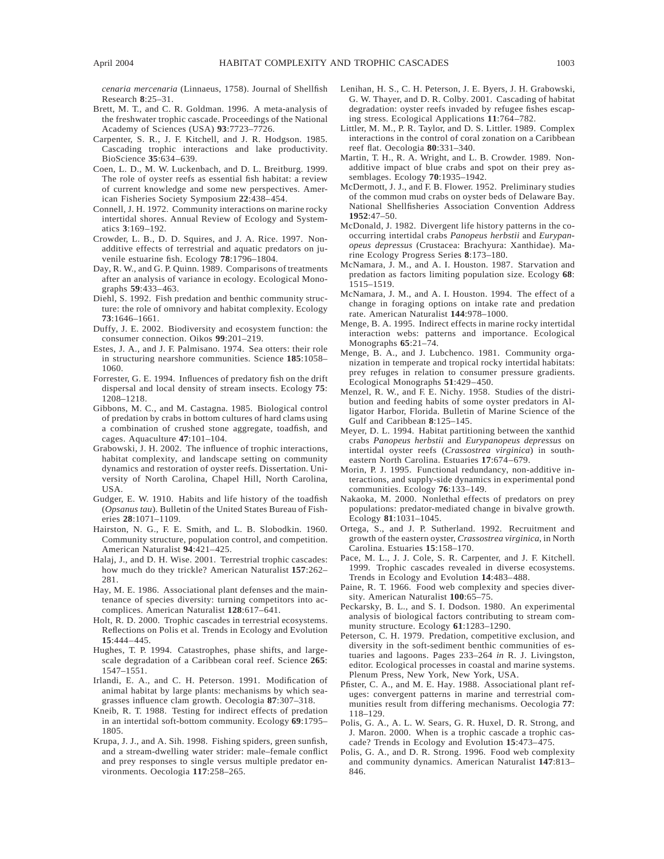*cenaria mercenaria* (Linnaeus, 1758). Journal of Shellfish Research **8**:25–31.

- Brett, M. T., and C. R. Goldman. 1996. A meta-analysis of the freshwater trophic cascade. Proceedings of the National Academy of Sciences (USA) **93**:7723–7726.
- Carpenter, S. R., J. F. Kitchell, and J. R. Hodgson. 1985. Cascading trophic interactions and lake productivity. BioScience **35**:634–639.
- Coen, L. D., M. W. Luckenbach, and D. L. Breitburg. 1999. The role of oyster reefs as essential fish habitat: a review of current knowledge and some new perspectives. American Fisheries Society Symposium **22**:438–454.
- Connell, J. H. 1972. Community interactions on marine rocky intertidal shores. Annual Review of Ecology and Systematics **3**:169–192.
- Crowder, L. B., D. D. Squires, and J. A. Rice. 1997. Nonadditive effects of terrestrial and aquatic predators on juvenile estuarine fish. Ecology **78**:1796–1804.
- Day, R. W., and G. P. Quinn. 1989. Comparisons of treatments after an analysis of variance in ecology. Ecological Monographs **59**:433–463.
- Diehl, S. 1992. Fish predation and benthic community structure: the role of omnivory and habitat complexity. Ecology **73**:1646–1661.
- Duffy, J. E. 2002. Biodiversity and ecosystem function: the consumer connection. Oikos **99**:201–219.
- Estes, J. A., and J. F. Palmisano. 1974. Sea otters: their role in structuring nearshore communities. Science **185**:1058– 1060.
- Forrester, G. E. 1994. Influences of predatory fish on the drift dispersal and local density of stream insects. Ecology **75**: 1208–1218.
- Gibbons, M. C., and M. Castagna. 1985. Biological control of predation by crabs in bottom cultures of hard clams using a combination of crushed stone aggregate, toadfish, and cages. Aquaculture **47**:101–104.
- Grabowski, J. H. 2002. The influence of trophic interactions, habitat complexity, and landscape setting on community dynamics and restoration of oyster reefs. Dissertation. University of North Carolina, Chapel Hill, North Carolina, USA.
- Gudger, E. W. 1910. Habits and life history of the toadfish (*Opsanus tau*). Bulletin of the United States Bureau of Fisheries **28**:1071–1109.
- Hairston, N. G., F. E. Smith, and L. B. Slobodkin. 1960. Community structure, population control, and competition. American Naturalist **94**:421–425.
- Halaj, J., and D. H. Wise. 2001. Terrestrial trophic cascades: how much do they trickle? American Naturalist **157**:262– 281.
- Hay, M. E. 1986. Associational plant defenses and the maintenance of species diversity: turning competitors into accomplices. American Naturalist **128**:617–641.
- Holt, R. D. 2000. Trophic cascades in terrestrial ecosystems. Reflections on Polis et al. Trends in Ecology and Evolution **15**:444–445.
- Hughes, T. P. 1994. Catastrophes, phase shifts, and largescale degradation of a Caribbean coral reef. Science **265**: 1547–1551.
- Irlandi, E. A., and C. H. Peterson. 1991. Modification of animal habitat by large plants: mechanisms by which seagrasses influence clam growth. Oecologia **87**:307–318.
- Kneib, R. T. 1988. Testing for indirect effects of predation in an intertidal soft-bottom community. Ecology **69**:1795– 1805.
- Krupa, J. J., and A. Sih. 1998. Fishing spiders, green sunfish, and a stream-dwelling water strider: male–female conflict and prey responses to single versus multiple predator environments. Oecologia **117**:258–265.
- Lenihan, H. S., C. H. Peterson, J. E. Byers, J. H. Grabowski, G. W. Thayer, and D. R. Colby. 2001. Cascading of habitat degradation: oyster reefs invaded by refugee fishes escaping stress. Ecological Applications **11**:764–782.
- Littler, M. M., P. R. Taylor, and D. S. Littler. 1989. Complex interactions in the control of coral zonation on a Caribbean reef flat. Oecologia **80**:331–340.
- Martin, T. H., R. A. Wright, and L. B. Crowder. 1989. Nonadditive impact of blue crabs and spot on their prey assemblages. Ecology **70**:1935–1942.
- McDermott, J. J., and F. B. Flower. 1952. Preliminary studies of the common mud crabs on oyster beds of Delaware Bay. National Shellfisheries Association Convention Address **1952**:47–50.
- McDonald, J. 1982. Divergent life history patterns in the cooccurring intertidal crabs *Panopeus herbstii* and *Eurypanopeus depressus* (Crustacea: Brachyura: Xanthidae). Marine Ecology Progress Series **8**:173–180.
- McNamara, J. M., and A. I. Houston. 1987. Starvation and predation as factors limiting population size. Ecology **68**: 1515–1519.
- McNamara, J. M., and A. I. Houston. 1994. The effect of a change in foraging options on intake rate and predation rate. American Naturalist **144**:978–1000.
- Menge, B. A. 1995. Indirect effects in marine rocky intertidal interaction webs: patterns and importance. Ecological Monographs **65**:21–74.
- Menge, B. A., and J. Lubchenco. 1981. Community organization in temperate and tropical rocky intertidal habitats: prey refuges in relation to consumer pressure gradients. Ecological Monographs **51**:429–450.
- Menzel, R. W., and F. E. Nichy. 1958. Studies of the distribution and feeding habits of some oyster predators in Alligator Harbor, Florida. Bulletin of Marine Science of the Gulf and Caribbean **8**:125–145.
- Meyer, D. L. 1994. Habitat partitioning between the xanthid crabs *Panopeus herbstii* and *Eurypanopeus depressus* on intertidal oyster reefs (*Crassostrea virginica*) in southeastern North Carolina. Estuaries **17**:674–679.
- Morin, P. J. 1995. Functional redundancy, non-additive interactions, and supply-side dynamics in experimental pond communities. Ecology **76**:133–149.
- Nakaoka, M. 2000. Nonlethal effects of predators on prey populations: predator-mediated change in bivalve growth. Ecology **81**:1031–1045.
- Ortega, S., and J. P. Sutherland. 1992. Recruitment and growth of the eastern oyster, *Crassostrea virginica*, in North Carolina. Estuaries **15**:158–170.
- Pace, M. L., J. J. Cole, S. R. Carpenter, and J. F. Kitchell. 1999. Trophic cascades revealed in diverse ecosystems. Trends in Ecology and Evolution **14**:483–488.
- Paine, R. T. 1966. Food web complexity and species diversity. American Naturalist **100**:65–75.
- Peckarsky, B. L., and S. I. Dodson. 1980. An experimental analysis of biological factors contributing to stream community structure. Ecology **61**:1283–1290.
- Peterson, C. H. 1979. Predation, competitive exclusion, and diversity in the soft-sediment benthic communities of estuaries and lagoons. Pages 233–264 *in* R. J. Livingston, editor. Ecological processes in coastal and marine systems. Plenum Press, New York, New York, USA.
- Pfister, C. A., and M. E. Hay. 1988. Associational plant refuges: convergent patterns in marine and terrestrial communities result from differing mechanisms. Oecologia **77**: 118–129.
- Polis, G. A., A. L. W. Sears, G. R. Huxel, D. R. Strong, and J. Maron. 2000. When is a trophic cascade a trophic cascade? Trends in Ecology and Evolution **15**:473–475.
- Polis, G. A., and D. R. Strong. 1996. Food web complexity and community dynamics. American Naturalist **147**:813– 846.